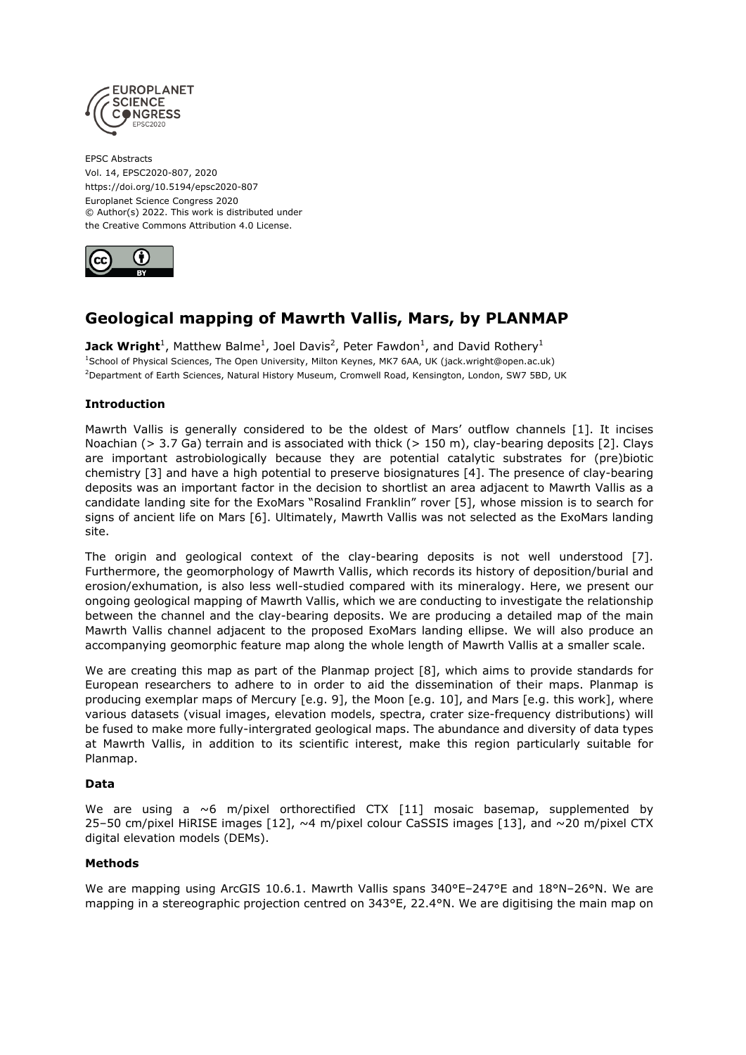

EPSC Abstracts Vol. 14, EPSC2020-807, 2020 https://doi.org/10.5194/epsc2020-807 Europlanet Science Congress 2020 © Author(s) 2022. This work is distributed under the Creative Commons Attribution 4.0 License.



# **Geological mapping of Mawrth Vallis, Mars, by PLANMAP**

**Jack Wright**<sup>1</sup>, Matthew Balme<sup>1</sup>, Joel Davis<sup>2</sup>, Peter Fawdon<sup>1</sup>, and David Rothery<sup>1</sup> <sup>1</sup>School of Physical Sciences, The Open University, Milton Keynes, MK7 6AA, UK (jack.wright@open.ac.uk) <sup>2</sup>Department of Earth Sciences, Natural History Museum, Cromwell Road, Kensington, London, SW7 5BD, UK

## **Introduction**

Mawrth Vallis is generally considered to be the oldest of Mars' outflow channels [1]. It incises Noachian ( $> 3.7$  Ga) terrain and is associated with thick ( $> 150$  m), clay-bearing deposits [2]. Clays are important astrobiologically because they are potential catalytic substrates for (pre)biotic chemistry [3] and have a high potential to preserve biosignatures [4]. The presence of clay-bearing deposits was an important factor in the decision to shortlist an area adjacent to Mawrth Vallis as a candidate landing site for the ExoMars "Rosalind Franklin" rover [5], whose mission is to search for signs of ancient life on Mars [6]. Ultimately, Mawrth Vallis was not selected as the ExoMars landing site.

The origin and geological context of the clay-bearing deposits is not well understood [7]. Furthermore, the geomorphology of Mawrth Vallis, which records its history of deposition/burial and erosion/exhumation, is also less well-studied compared with its mineralogy. Here, we present our ongoing geological mapping of Mawrth Vallis, which we are conducting to investigate the relationship between the channel and the clay-bearing deposits. We are producing a detailed map of the main Mawrth Vallis channel adjacent to the proposed ExoMars landing ellipse. We will also produce an accompanying geomorphic feature map along the whole length of Mawrth Vallis at a smaller scale.

We are creating this map as part of the Planmap project [8], which aims to provide standards for European researchers to adhere to in order to aid the dissemination of their maps. Planmap is producing exemplar maps of Mercury [e.g. 9], the Moon [e.g. 10], and Mars [e.g. this work], where various datasets (visual images, elevation models, spectra, crater size-frequency distributions) will be fused to make more fully-intergrated geological maps. The abundance and diversity of data types at Mawrth Vallis, in addition to its scientific interest, make this region particularly suitable for Planmap.

## **Data**

We are using a  $\sim$  6 m/pixel orthorectified CTX [11] mosaic basemap, supplemented by 25–50 cm/pixel HiRISE images  $[12]$ ,  $\sim$ 4 m/pixel colour CaSSIS images  $[13]$ , and  $\sim$ 20 m/pixel CTX digital elevation models (DEMs).

#### **Methods**

We are mapping using ArcGIS 10.6.1. Mawrth Vallis spans 340°E-247°E and 18°N-26°N. We are mapping in a stereographic projection centred on 343°E, 22.4°N. We are digitising the main map on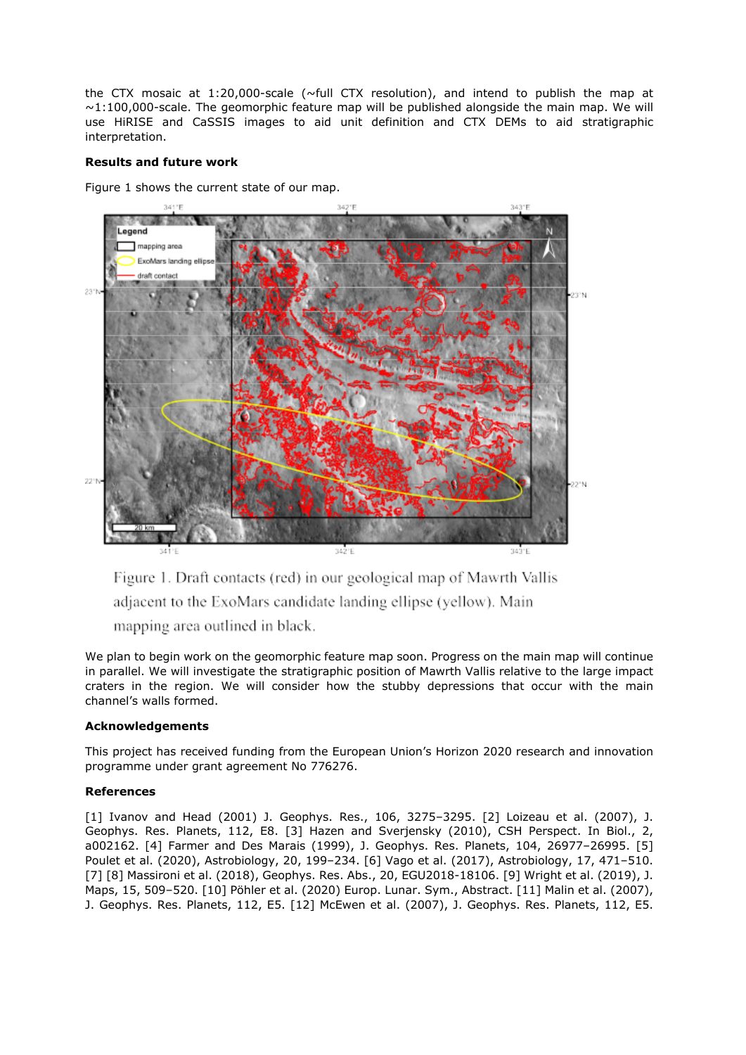the CTX mosaic at 1:20,000-scale ( $\sim$ full CTX resolution), and intend to publish the map at  $\sim$ 1:100,000-scale. The geomorphic feature map will be published alongside the main map. We will use HiRISE and CaSSIS images to aid unit definition and CTX DEMs to aid stratigraphic interpretation.

### **Results and future work**

Figure 1 shows the current state of our map.



Figure 1. Draft contacts (red) in our geological map of Mawrth Vallis adjacent to the ExoMars candidate landing ellipse (yellow). Main mapping area outlined in black.

We plan to begin work on the geomorphic feature map soon. Progress on the main map will continue in parallel. We will investigate the stratigraphic position of Mawrth Vallis relative to the large impact craters in the region. We will consider how the stubby depressions that occur with the main channel's walls formed.

## **Acknowledgements**

This project has received funding from the European Union's Horizon 2020 research and innovation programme under grant agreement No 776276.

## **References**

[1] Ivanov and Head (2001) J. Geophys. Res., 106, 3275-3295. [2] Loizeau et al. (2007), J. Geophys. Res. Planets, 112, E8. [3] Hazen and Sverjensky (2010), CSH Perspect. In Biol., 2, a002162. [4] Farmer and Des Marais (1999), J. Geophys. Res. Planets, 104, 26977–26995. [5] Poulet et al. (2020), Astrobiology, 20, 199–234. [6] Vago et al. (2017), Astrobiology, 17, 471–510. [7] [8] Massironi et al. (2018), Geophys. Res. Abs., 20, EGU2018-18106. [9] Wright et al. (2019), J. Maps, 15, 509–520. [10] Pöhler et al. (2020) Europ. Lunar. Sym., Abstract. [11] Malin et al. (2007), J. Geophys. Res. Planets, 112, E5. [12] McEwen et al. (2007), J. Geophys. Res. Planets, 112, E5.